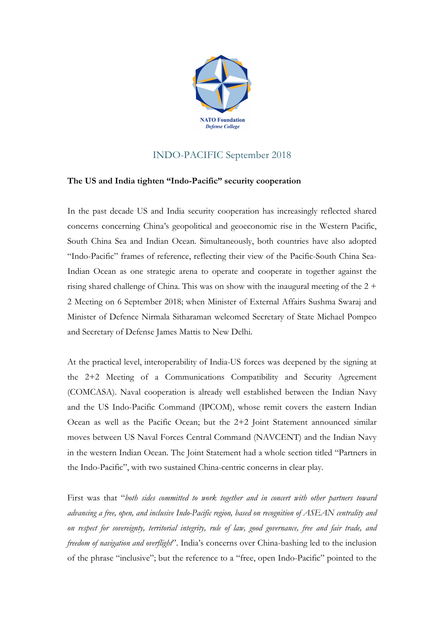

## INDO-PACIFIC September 2018

## **The US and India tighten "Indo-Pacific" security cooperation**

In the past decade US and India security cooperation has increasingly reflected shared concerns concerning China's geopolitical and geoeconomic rise in the Western Pacific, South China Sea and Indian Ocean. Simultaneously, both countries have also adopted "Indo-Pacific" frames of reference, reflecting their view of the Pacific-South China Sea-Indian Ocean as one strategic arena to operate and cooperate in together against the rising shared challenge of China. This was on show with the inaugural meeting of the  $2 +$ 2 Meeting on 6 September 2018; when Minister of External Affairs Sushma Swaraj and Minister of Defence Nirmala Sitharaman welcomed Secretary of State Michael Pompeo and Secretary of Defense James Mattis to New Delhi.

At the practical level, interoperability of India-US forces was deepened by the signing at the 2+2 Meeting of a Communications Compatibility and Security Agreement (COMCASA). Naval cooperation is already well established between the Indian Navy and the US Indo-Pacific Command (IPCOM), whose remit covers the eastern Indian Ocean as well as the Pacific Ocean; but the 2+2 Joint Statement announced similar moves between US Naval Forces Central Command (NAVCENT) and the Indian Navy in the western Indian Ocean. The Joint Statement had a whole section titled "Partners in the Indo-Pacific", with two sustained China-centric concerns in clear play.

First was that "*both sides committed to work together and in concert with other partners toward advancing a free, open, and inclusive Indo-Pacific region, based on recognition of ASEAN centrality and on respect for sovereignty, territorial integrity, rule of law, good governance, free and fair trade, and freedom of navigation and overflight*". India's concerns over China-bashing led to the inclusion of the phrase "inclusive"; but the reference to a "free, open Indo-Pacific" pointed to the